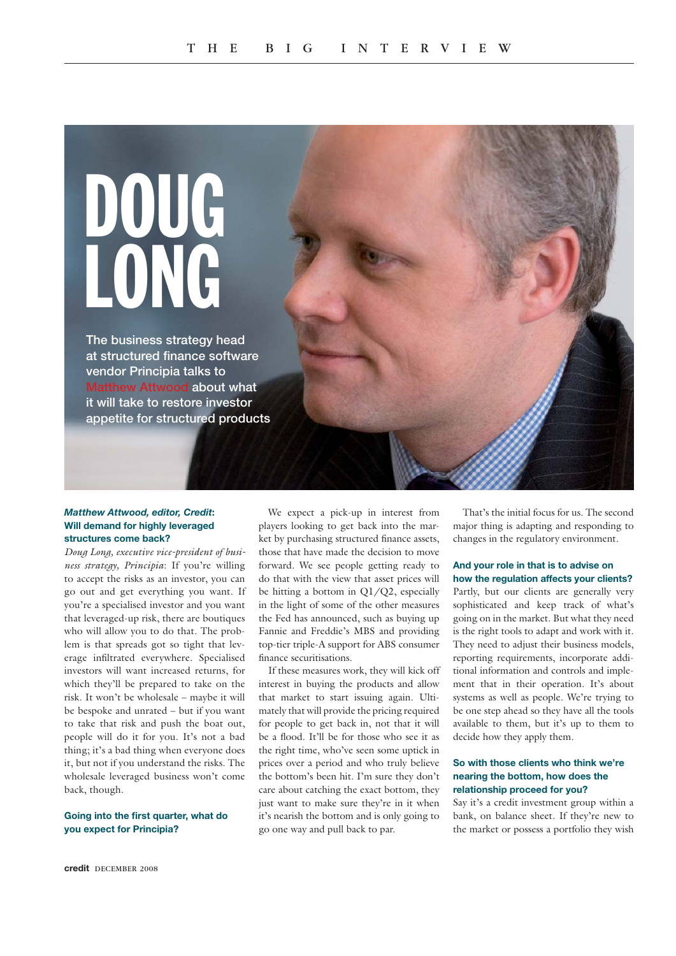

## *Matthew Attwood, editor, Credit***: Will demand for highly leveraged structures come back?**

*Doug Long, executive vice-president of business strategy, Principia*: If you're willing to accept the risks as an investor, you can go out and get everything you want. If you're a specialised investor and you want that leveraged-up risk, there are boutiques who will allow you to do that. The problem is that spreads got so tight that leverage infiltrated everywhere. Specialised investors will want increased returns, for which they'll be prepared to take on the risk. It won't be wholesale – maybe it will be bespoke and unrated – but if you want to take that risk and push the boat out, people will do it for you. It's not a bad thing; it's a bad thing when everyone does it, but not if you understand the risks. The wholesale leveraged business won't come back, though.

### **Going into the first quarter, what do you expect for Principia?**

We expect a pick-up in interest from players looking to get back into the market by purchasing structured finance assets, those that have made the decision to move forward. We see people getting ready to do that with the view that asset prices will be hitting a bottom in Q1/Q2, especially in the light of some of the other measures the Fed has announced, such as buying up Fannie and Freddie's MBS and providing top-tier triple-A support for ABS consumer finance securitisations.

If these measures work, they will kick off interest in buying the products and allow that market to start issuing again. Ultimately that will provide the pricing required for people to get back in, not that it will be a flood. It'll be for those who see it as the right time, who've seen some uptick in prices over a period and who truly believe the bottom's been hit. I'm sure they don't care about catching the exact bottom, they just want to make sure they're in it when it's nearish the bottom and is only going to go one way and pull back to par.

That's the initial focus for us. The second major thing is adapting and responding to changes in the regulatory environment.

# **And your role in that is to advise on how the regulation affects your clients?**

Partly, but our clients are generally very sophisticated and keep track of what's going on in the market. But what they need is the right tools to adapt and work with it. They need to adjust their business models, reporting requirements, incorporate additional information and controls and implement that in their operation. It's about systems as well as people. We're trying to be one step ahead so they have all the tools available to them, but it's up to them to decide how they apply them.

### **So with those clients who think we're nearing the bottom, how does the relationship proceed for you?**

Say it's a credit investment group within a bank, on balance sheet. If they're new to the market or possess a portfolio they wish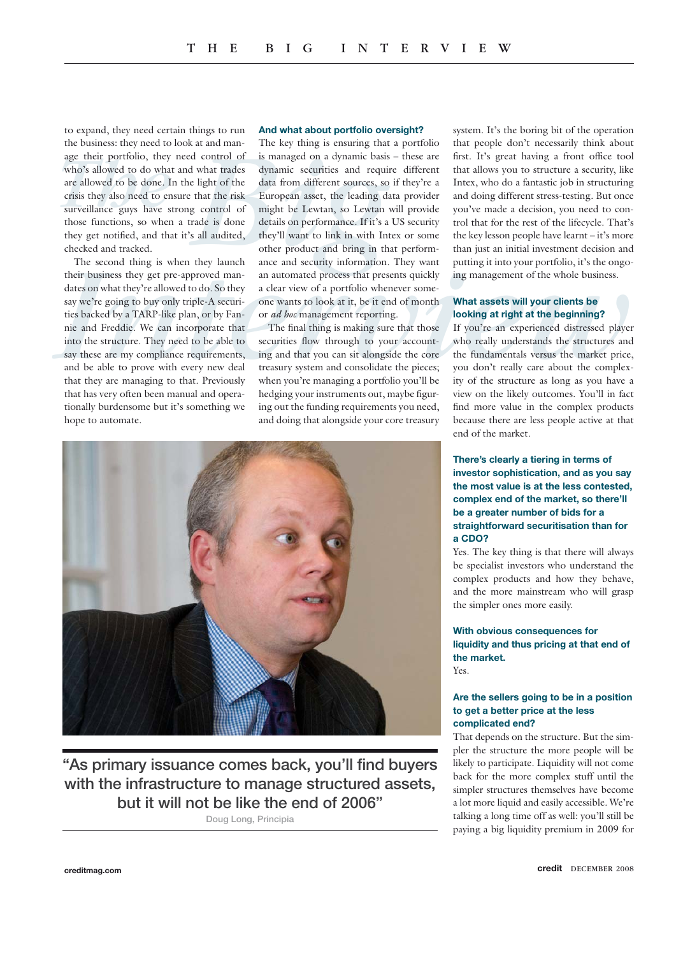to expand, they need certain things to run the business: they need to look at and manage their portfolio, they need control of who's allowed to do what and what trades are allowed to be done. In the light of the crisis they also need to ensure that the risk surveillance guys have strong control of those functions, so when a trade is done they get notified, and that it's all audited, checked and tracked.

The second thing is when they launch their business they get pre-approved mandates on what they're allowed to do. So they say we're going to buy only triple-A securities backed by a TARP-like plan, or by Fannie and Freddie. We can incorporate that into the structure. They need to be able to say these are my compliance requirements, and be able to prove with every new deal that they are managing to that. Previously that has very often been manual and operationally burdensome but it's something we hope to automate.

#### **And what about portfolio oversight?**

Interview the colook at and man-<br> *The Key many* and man-<br> *The Key many is ensiming that a* portrolio, they need control of is managed on a dynamic basis – these are first. It's great having a from the<br> *The Key many is e* The key thing is ensuring that a portfolio is managed on a dynamic basis – these are dynamic securities and require different data from different sources, so if they're a European asset, the leading data provider might be Lewtan, so Lewtan will provide details on performance. If it's a US security they'll want to link in with Intex or some other product and bring in that performance and security information. They want an automated process that presents quickly a clear view of a portfolio whenever someone wants to look at it, be it end of month or *ad hoc* management reporting.

The final thing is making sure that those securities flow through to your accounting and that you can sit alongside the core treasury system and consolidate the pieces; when you're managing a portfolio you'll be hedging your instruments out, maybe figuring out the funding requirements you need, and doing that alongside your core treasury



**"As primary issuance comes back, you'll find buyers with the infrastructure to manage structured assets, but it will not be like the end of 2006"** 

**Doug Long, Principia**

system. It's the boring bit of the operation that people don't necessarily think about first. It's great having a front office tool that allows you to structure a security, like Intex, who do a fantastic job in structuring and doing different stress-testing. But once you've made a decision, you need to control that for the rest of the lifecycle. That's the key lesson people have learnt – it's more than just an initial investment decision and putting it into your portfolio, it's the ongoing management of the whole business.

## **What assets will your clients be looking at right at the beginning?**

If you're an experienced distressed player who really understands the structures and the fundamentals versus the market price, you don't really care about the complexity of the structure as long as you have a view on the likely outcomes. You'll in fact find more value in the complex products because there are less people active at that end of the market.

## **There's clearly a tiering in terms of investor sophistication, and as you say the most value is at the less contested, complex end of the market, so there'll be a greater number of bids for a straightforward securitisation than for a CDO?**

Yes. The key thing is that there will always be specialist investors who understand the complex products and how they behave, and the more mainstream who will grasp the simpler ones more easily.

#### **With obvious consequences for liquidity and thus pricing at that end of the market.** Yes.

#### **Are the sellers going to be in a position to get a better price at the less complicated end?**

That depends on the structure. But the simpler the structure the more people will be likely to participate. Liquidity will not come back for the more complex stuff until the simpler structures themselves have become a lot more liquid and easily accessible. We're talking a long time off as well: you'll still be paying a big liquidity premium in 2009 for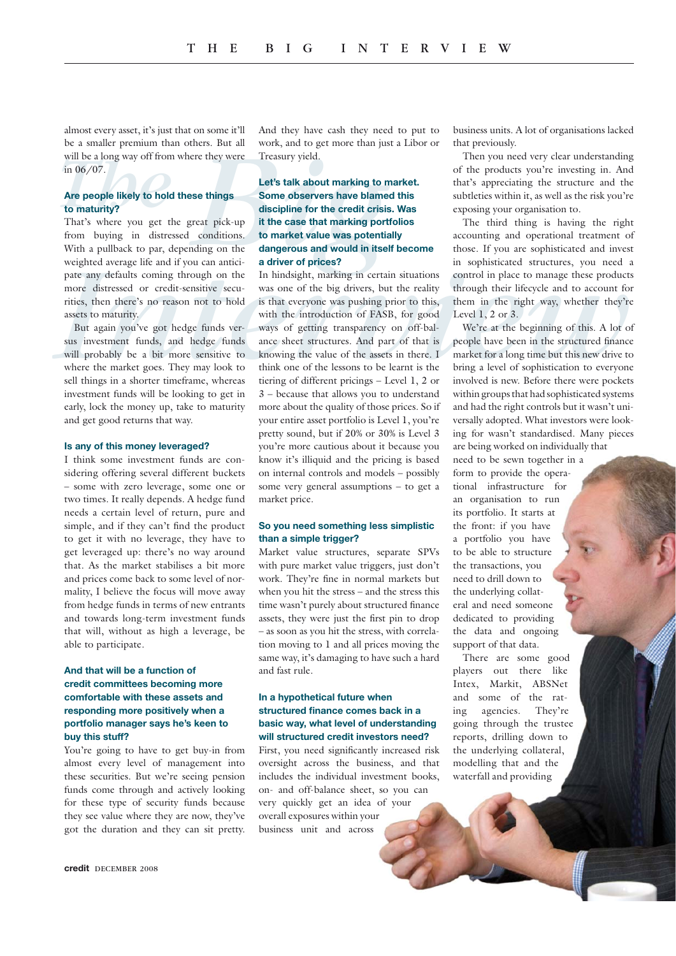almost every asset, it's just that on some it'll be a smaller premium than others. But all will be a long way off from where they were in 06/07.

## **Are people likely to hold these things to maturity?**

That's where you get the great pick-up from buying in distressed conditions. With a pullback to par, depending on the weighted average life and if you can anticipate any defaults coming through on the more distressed or credit-sensitive securities, then there's no reason not to hold assets to maturity.

But again you've got hedge funds versus investment funds, and hedge funds will probably be a bit more sensitive to where the market goes. They may look to sell things in a shorter timeframe, whereas investment funds will be looking to get in early, lock the money up, take to maturity and get good returns that way.

#### **Is any of this money leveraged?**

I think some investment funds are considering offering several different buckets – some with zero leverage, some one or two times. It really depends. A hedge fund needs a certain level of return, pure and simple, and if they can't find the product to get it with no leverage, they have to get leveraged up: there's no way around that. As the market stabilises a bit more and prices come back to some level of normality, I believe the focus will move away from hedge funds in terms of new entrants and towards long-term investment funds that will, without as high a leverage, be able to participate.

## **And that will be a function of credit committees becoming more comfortable with these assets and responding more positively when a portfolio manager says he's keen to buy this stuff?**

You're going to have to get buy-in from almost every level of management into these securities. But we're seeing pension funds come through and actively looking for these type of security funds because they see value where they are now, they've got the duration and they can sit pretty.

And they have cash they need to put to work, and to get more than just a Libor or Treasury yield.

## **Let's talk about marking to market. Some observers have blamed this discipline for the credit crisis. Was it the case that marking portfolios to market value was potentially dangerous and would in itself become a driver of prices?**

**Example the Solution of the Solution of the Solution of the system of the solution of the proposition of the products you're investing in. And we prepope likely to hold these things Some observers have blamed this subdriv** In hindsight, marking in certain situations was one of the big drivers, but the reality is that everyone was pushing prior to this, with the introduction of FASB, for good ways of getting transparency on off-balance sheet structures. And part of that is knowing the value of the assets in there. I think one of the lessons to be learnt is the tiering of different pricings – Level 1, 2 or 3 – because that allows you to understand more about the quality of those prices. So if your entire asset portfolio is Level 1, you're pretty sound, but if 20% or 30% is Level 3 you're more cautious about it because you know it's illiquid and the pricing is based on internal controls and models – possibly some very general assumptions – to get a market price.

### **So you need something less simplistic than a simple trigger?**

Market value structures, separate SPVs with pure market value triggers, just don't work. They're fine in normal markets but when you hit the stress – and the stress this time wasn't purely about structured finance assets, they were just the first pin to drop – as soon as you hit the stress, with correlation moving to 1 and all prices moving the same way, it's damaging to have such a hard and fast rule.

### **In a hypothetical future when structured finance comes back in a basic way, what level of understanding will structured credit investors need?**

First, you need significantly increased risk oversight across the business, and that includes the individual investment books, on- and off-balance sheet, so you can very quickly get an idea of your overall exposures within your business unit and across

business units. A lot of organisations lacked that previously.

Then you need very clear understanding of the products you're investing in. And that's appreciating the structure and the subtleties within it, as well as the risk you're exposing your organisation to.

The third thing is having the right accounting and operational treatment of those. If you are sophisticated and invest in sophisticated structures, you need a control in place to manage these products through their lifecycle and to account for them in the right way, whether they're Level 1, 2 or 3.

We're at the beginning of this. A lot of people have been in the structured finance market for a long time but this new drive to bring a level of sophistication to everyone involved is new. Before there were pockets within groups that had sophisticated systems and had the right controls but it wasn't universally adopted. What investors were looking for wasn't standardised. Many pieces are being worked on individually that need to be sewn together in a form to provide the operational infrastructure for an organisation to run its portfolio. It starts at the front: if you have a portfolio you have to be able to structure the transactions, you need to drill down to the underlying collateral and need someone dedicated to providing the data and ongoing support of that data.

There are some good players out there like Intex, Markit, ABSNet and some of the rating agencies. They're going through the trustee reports, drilling down to the underlying collateral, modelling that and the waterfall and providing